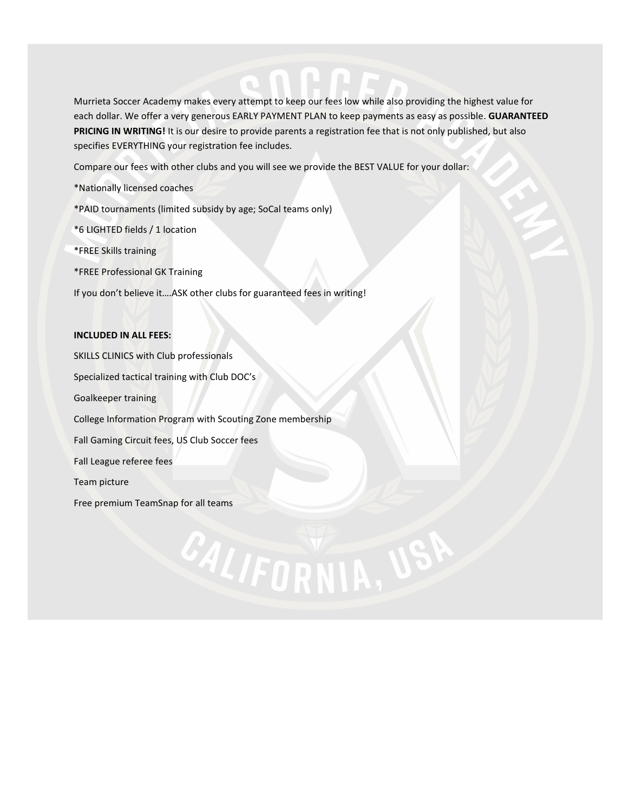Murrieta Soccer Academy makes every attempt to keep our fees low while also providing the highest value for each dollar. We offer a very generous EARLY PAYMENT PLAN to keep payments as easy as possible. **GUARANTEED PRICING IN WRITING!** It is our desire to provide parents a registration fee that is not only published, but also specifies EVERYTHING your registration fee includes.

CALIFORNIA, US

Compare our fees with other clubs and you will see we provide the BEST VALUE for your dollar:

\*Nationally licensed coaches

\*PAID tournaments (limited subsidy by age; SoCal teams only)

\*6 LIGHTED fields / 1 location

\*FREE Skills training

\*FREE Professional GK Training

If you don't believe it….ASK other clubs for guaranteed fees in writing!

#### **INCLUDED IN ALL FEES:**

SKILLS CLINICS with Club professionals Specialized tactical training with Club DOC's Goalkeeper training College Information Program with Scouting Zone membership Fall Gaming Circuit fees, US Club Soccer fees Fall League referee fees Team picture Free premium TeamSnap for all teams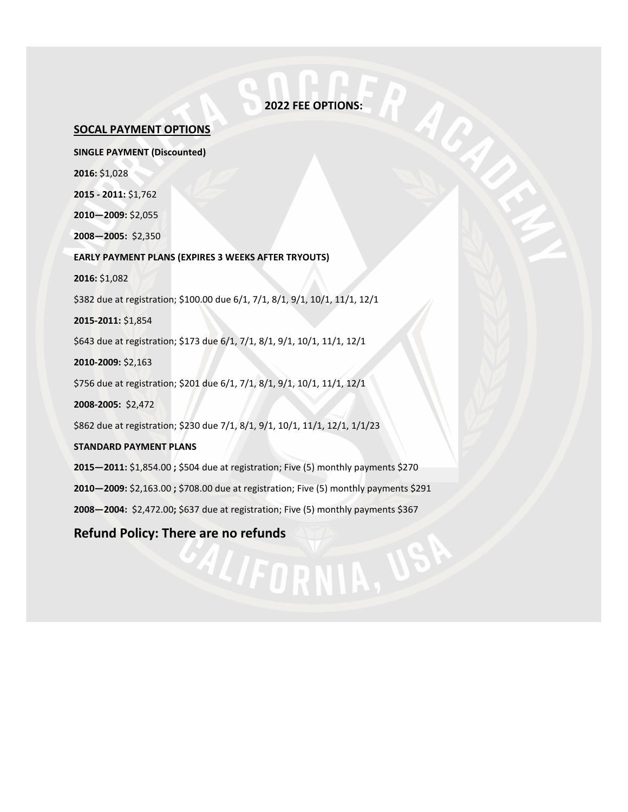### **2022 FEE OPTIONS:**

#### **SOCAL PAYMENT OPTIONS**

**SINGLE PAYMENT (Discounted) 2016:** \$1,028 **2015 - 2011:** \$1,762

**2010—2009:** \$2,055

**2008—2005:** \$2,350

**EARLY PAYMENT PLANS (EXPIRES 3 WEEKS AFTER TRYOUTS)**

**2016:** \$1,082

\$382 due at registration; \$100.00 due 6/1, 7/1, 8/1, 9/1, 10/1, 11/1, 12/1

**2015-2011:** \$1,854

\$643 due at registration; \$173 due 6/1, 7/1, 8/1, 9/1, 10/1, 11/1, 12/1

**2010-2009:** \$2,163

\$756 due at registration; \$201 due 6/1, 7/1, 8/1, 9/1, 10/1, 11/1, 12/1

**2008-2005:** \$2,472

\$862 due at registration; \$230 due 7/1, 8/1, 9/1, 10/1, 11/1, 12/1, 1/1/23

**STANDARD PAYMENT PLANS**

**2015—2011:** \$1,854.00 **;** \$504 due at registration; Five (5) monthly payments \$270

**2010—2009:** \$2,163.00 **;** \$708.00 due at registration; Five (5) monthly payments \$291

ALIFORNIA, V

**2008—2004:** \$2,472.00**;** \$637 due at registration; Five (5) monthly payments \$367

**Refund Policy: There are no refunds**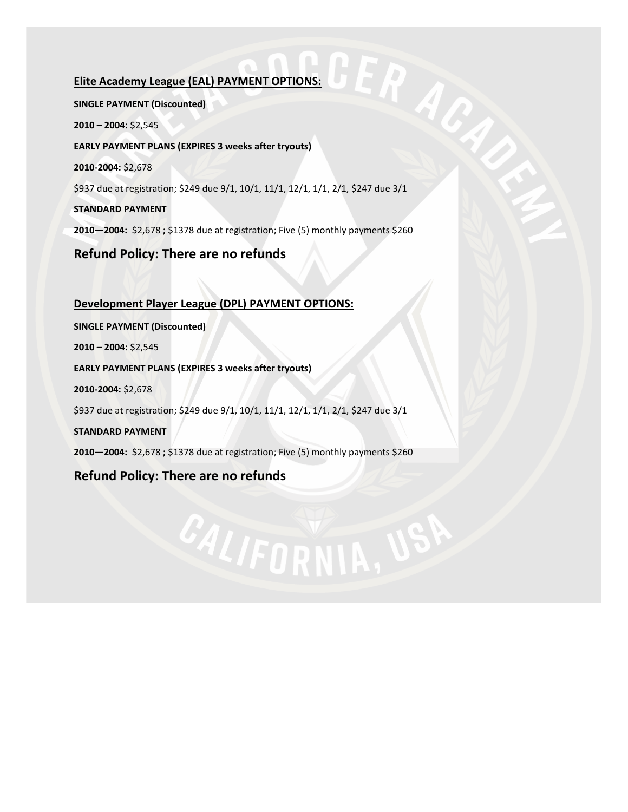## **Elite Academy League (EAL) PAYMENT OPTIONS:**

ERA **SINGLE PAYMENT (Discounted) 2010 – 2004:** \$2,545 **EARLY PAYMENT PLANS (EXPIRES 3 weeks after tryouts) 2010-2004:** \$2,678 \$937 due at registration; \$249 due 9/1, 10/1, 11/1, 12/1, 1/1, 2/1, \$247 due 3/1 **STANDARD PAYMENT 2010—2004:** \$2,678 **;** \$1378 due at registration; Five (5) monthly payments \$260 **Refund Policy: There are no refunds**

**Development Player League (DPL) PAYMENT OPTIONS: SINGLE PAYMENT (Discounted) 2010 – 2004:** \$2,545 **EARLY PAYMENT PLANS (EXPIRES 3 weeks after tryouts) 2010-2004:** \$2,678 \$937 due at registration; \$249 due 9/1, 10/1, 11/1, 12/1, 1/1, 2/1, \$247 due 3/1 **STANDARD PAYMENT 2010—2004:** \$2,678 **;** \$1378 due at registration; Five (5) monthly payments \$260

CALIFORNIA, U

## **Refund Policy: There are no refunds**